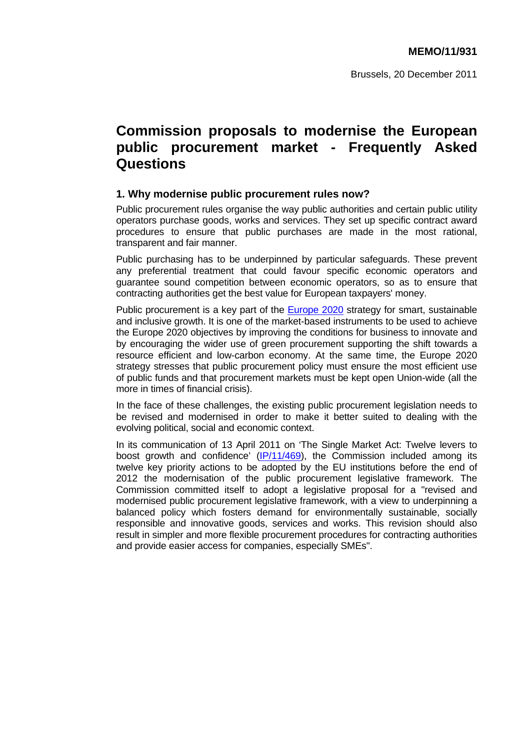# **Commission proposals to modernise the European public procurement market - Frequently Asked Questions**

## **1. Why modernise public procurement rules now?**

Public procurement rules organise the way public authorities and certain public utility operators purchase goods, works and services. They set up specific contract award procedures to ensure that public purchases are made in the most rational, transparent and fair manner.

Public purchasing has to be underpinned by particular safeguards. These prevent any preferential treatment that could favour specific economic operators and guarantee sound competition between economic operators, so as to ensure that contracting authorities get the best value for European taxpayers' money.

Public procurement is a key part of the [Europe 2020](http://eur-lex.europa.eu/LexUriServ/LexUriServ.do?uri=COM:2010:2020:FIN:EN:PDF) strategy for smart, sustainable and inclusive growth. It is one of the market-based instruments to be used to achieve the Europe 2020 objectives by improving the conditions for business to innovate and by encouraging the wider use of green procurement supporting the shift towards a resource efficient and low-carbon economy. At the same time, the Europe 2020 strategy stresses that public procurement policy must ensure the most efficient use of public funds and that procurement markets must be kept open Union-wide (all the more in times of financial crisis).

In the face of these challenges, the existing public procurement legislation needs to be revised and modernised in order to make it better suited to dealing with the evolving political, social and economic context.

In its communication of 13 April 2011 on 'The Single Market Act: Twelve levers to boost growth and confidence'  $(|P/11/469|)$ , the Commission included among its twelve key priority actions to be adopted by the EU institutions before the end of 2012 the modernisation of the public procurement legislative framework. The Commission committed itself to adopt a legislative proposal for a "revised and modernised public procurement legislative framework, with a view to underpinning a balanced policy which fosters demand for environmentally sustainable, socially responsible and innovative goods, services and works. This revision should also result in simpler and more flexible procurement procedures for contracting authorities and provide easier access for companies, especially SMEs".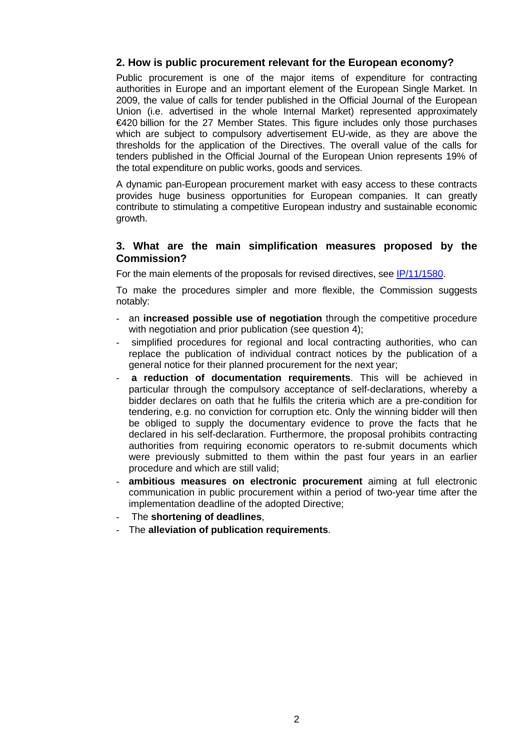# **2. How is public procurement relevant for the European economy?**

Public procurement is one of the major items of expenditure for contracting authorities in Europe and an important element of the European Single Market. In 2009, the value of calls for tender published in the Official Journal of the European Union (i.e. advertised in the whole Internal Market) represented approximately €420 billion for the 27 Member States. This figure includes only those purchases which are subject to compulsory advertisement EU-wide, as they are above the thresholds for the application of the Directives. The overall value of the calls for tenders published in the Official Journal of the European Union represents 19% of the total expenditure on public works, goods and services.

A dynamic pan-European procurement market with easy access to these contracts provides huge business opportunities for European companies. It can greatly contribute to stimulating a competitive European industry and sustainable economic growth.

## **3. What are the main simplification measures proposed by the Commission?**

For the main elements of the proposals for revised directives, see [IP/11/1580.](http://europa.eu/rapid/pressReleasesAction.do?reference=IP/11/1580&format=HTML&aged=0&language=EN&guiLanguage=en) 

To make the procedures simpler and more flexible, the Commission suggests notably:

- an **increased possible use of negotiation** through the competitive procedure with negotiation and prior publication (see question 4):
- simplified procedures for regional and local contracting authorities, who can replace the publication of individual contract notices by the publication of a general notice for their planned procurement for the next year;
- a reduction of documentation requirements. This will be achieved in particular through the compulsory acceptance of self-declarations, whereby a bidder declares on oath that he fulfils the criteria which are a pre-condition for tendering, e.g. no conviction for corruption etc. Only the winning bidder will then be obliged to supply the documentary evidence to prove the facts that he declared in his self-declaration. Furthermore, the proposal prohibits contracting authorities from requiring economic operators to re-submit documents which were previously submitted to them within the past four years in an earlier procedure and which are still valid;
- **ambitious measures on electronic procurement** aiming at full electronic communication in public procurement within a period of two-year time after the implementation deadline of the adopted Directive;
- The **shortening of deadlines**,
- The **alleviation of publication requirements**.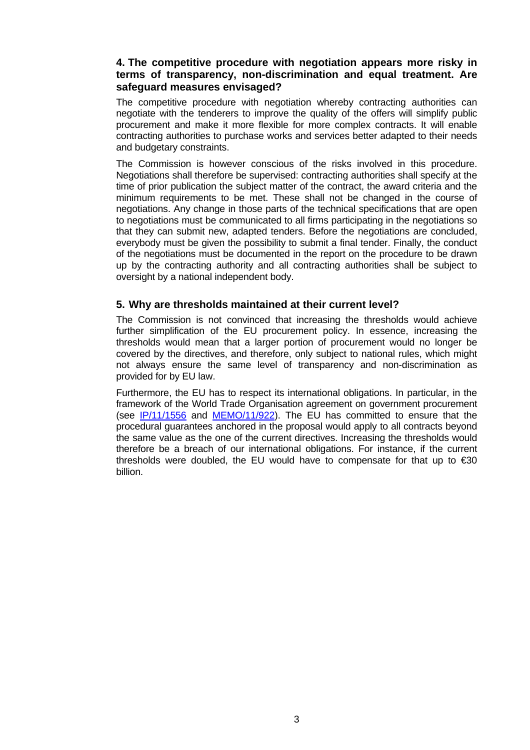# **4. The competitive procedure with negotiation appears more risky in terms of transparency, non-discrimination and equal treatment. Are safeguard measures envisaged?**

The competitive procedure with negotiation whereby contracting authorities can negotiate with the tenderers to improve the quality of the offers will simplify public procurement and make it more flexible for more complex contracts. It will enable contracting authorities to purchase works and services better adapted to their needs and budgetary constraints.

The Commission is however conscious of the risks involved in this procedure. Negotiations shall therefore be supervised: contracting authorities shall specify at the time of prior publication the subject matter of the contract, the award criteria and the minimum requirements to be met. These shall not be changed in the course of negotiations. Any change in those parts of the technical specifications that are open to negotiations must be communicated to all firms participating in the negotiations so that they can submit new, adapted tenders. Before the negotiations are concluded, everybody must be given the possibility to submit a final tender. Finally, the conduct of the negotiations must be documented in the report on the procedure to be drawn up by the contracting authority and all contracting authorities shall be subject to oversight by a national independent body.

#### **5. Why are thresholds maintained at their current level?**

The Commission is not convinced that increasing the thresholds would achieve further simplification of the EU procurement policy. In essence, increasing the thresholds would mean that a larger portion of procurement would no longer be covered by the directives, and therefore, only subject to national rules, which might not always ensure the same level of transparency and non-discrimination as provided for by EU law.

Furthermore, the EU has to respect its international obligations. In particular, in the framework of the World Trade Organisation agreement on government procurement (see [IP/11/1556](http://europa.eu/rapid/pressReleasesAction.do?reference=IP/11/1556&format=HTML&aged=0&language=EN&guiLanguage=en) and [MEMO/11/922\)](http://europa.eu/rapid/pressReleasesAction.do?reference=MEMO/11/922&format=HTML&aged=0&language=EN&guiLanguage=en). The EU has committed to ensure that the procedural guarantees anchored in the proposal would apply to all contracts beyond the same value as the one of the current directives. Increasing the thresholds would therefore be a breach of our international obligations. For instance, if the current thresholds were doubled, the EU would have to compensate for that up to  $\epsilon$ 30 billion.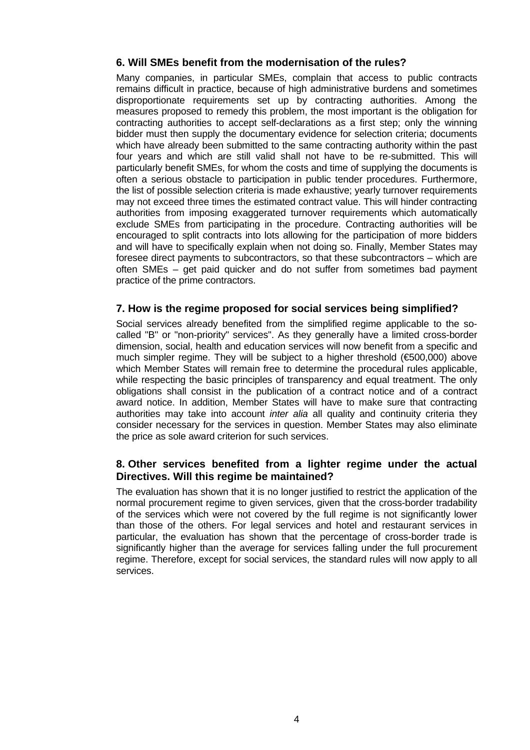# **6. Will SMEs benefit from the modernisation of the rules?**

Many companies, in particular SMEs, complain that access to public contracts remains difficult in practice, because of high administrative burdens and sometimes disproportionate requirements set up by contracting authorities. Among the measures proposed to remedy this problem, the most important is the obligation for contracting authorities to accept self-declarations as a first step; only the winning bidder must then supply the documentary evidence for selection criteria; documents which have already been submitted to the same contracting authority within the past four years and which are still valid shall not have to be re-submitted. This will particularly benefit SMEs, for whom the costs and time of supplying the documents is often a serious obstacle to participation in public tender procedures. Furthermore, the list of possible selection criteria is made exhaustive; yearly turnover requirements may not exceed three times the estimated contract value. This will hinder contracting authorities from imposing exaggerated turnover requirements which automatically exclude SMEs from participating in the procedure. Contracting authorities will be encouraged to split contracts into lots allowing for the participation of more bidders and will have to specifically explain when not doing so. Finally, Member States may foresee direct payments to subcontractors, so that these subcontractors – which are often SMEs – get paid quicker and do not suffer from sometimes bad payment practice of the prime contractors.

# **7. How is the regime proposed for social services being simplified?**

Social services already benefited from the simplified regime applicable to the socalled "B" or "non-priority" services". As they generally have a limited cross-border dimension, social, health and education services will now benefit from a specific and much simpler regime. They will be subject to a higher threshold ( $\epsilon$ 500,000) above which Member States will remain free to determine the procedural rules applicable, while respecting the basic principles of transparency and equal treatment. The only obligations shall consist in the publication of a contract notice and of a contract award notice. In addition, Member States will have to make sure that contracting authorities may take into account *inter alia* all quality and continuity criteria they consider necessary for the services in question. Member States may also eliminate the price as sole award criterion for such services.

# **8. Other services benefited from a lighter regime under the actual Directives. Will this regime be maintained?**

The evaluation has shown that it is no longer justified to restrict the application of the normal procurement regime to given services, given that the cross-border tradability of the services which were not covered by the full regime is not significantly lower than those of the others. For legal services and hotel and restaurant services in particular, the evaluation has shown that the percentage of cross-border trade is significantly higher than the average for services falling under the full procurement regime. Therefore, except for social services, the standard rules will now apply to all services.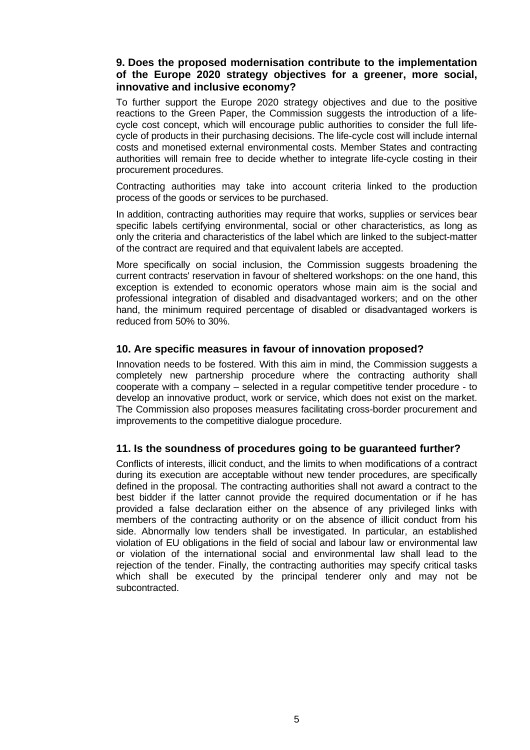# **9. Does the proposed modernisation contribute to the implementation of the Europe 2020 strategy objectives for a greener, more social, innovative and inclusive economy?**

To further support the Europe 2020 strategy objectives and due to the positive reactions to the Green Paper, the Commission suggests the introduction of a lifecycle cost concept, which will encourage public authorities to consider the full lifecycle of products in their purchasing decisions. The life-cycle cost will include internal costs and monetised external environmental costs. Member States and contracting authorities will remain free to decide whether to integrate life-cycle costing in their procurement procedures.

Contracting authorities may take into account criteria linked to the production process of the goods or services to be purchased.

In addition, contracting authorities may require that works, supplies or services bear specific labels certifying environmental, social or other characteristics, as long as only the criteria and characteristics of the label which are linked to the subject-matter of the contract are required and that equivalent labels are accepted.

More specifically on social inclusion, the Commission suggests broadening the current contracts' reservation in favour of sheltered workshops: on the one hand, this exception is extended to economic operators whose main aim is the social and professional integration of disabled and disadvantaged workers; and on the other hand, the minimum required percentage of disabled or disadvantaged workers is reduced from 50% to 30%.

#### **10. Are specific measures in favour of innovation proposed?**

Innovation needs to be fostered. With this aim in mind, the Commission suggests a completely new partnership procedure where the contracting authority shall cooperate with a company – selected in a regular competitive tender procedure - to develop an innovative product, work or service, which does not exist on the market. The Commission also proposes measures facilitating cross-border procurement and improvements to the competitive dialogue procedure.

#### **11. Is the soundness of procedures going to be guaranteed further?**

Conflicts of interests, illicit conduct, and the limits to when modifications of a contract during its execution are acceptable without new tender procedures, are specifically defined in the proposal. The contracting authorities shall not award a contract to the best bidder if the latter cannot provide the required documentation or if he has provided a false declaration either on the absence of any privileged links with members of the contracting authority or on the absence of illicit conduct from his side. Abnormally low tenders shall be investigated. In particular, an established violation of EU obligations in the field of social and labour law or environmental law or violation of the international social and environmental law shall lead to the rejection of the tender. Finally, the contracting authorities may specify critical tasks which shall be executed by the principal tenderer only and may not be subcontracted.